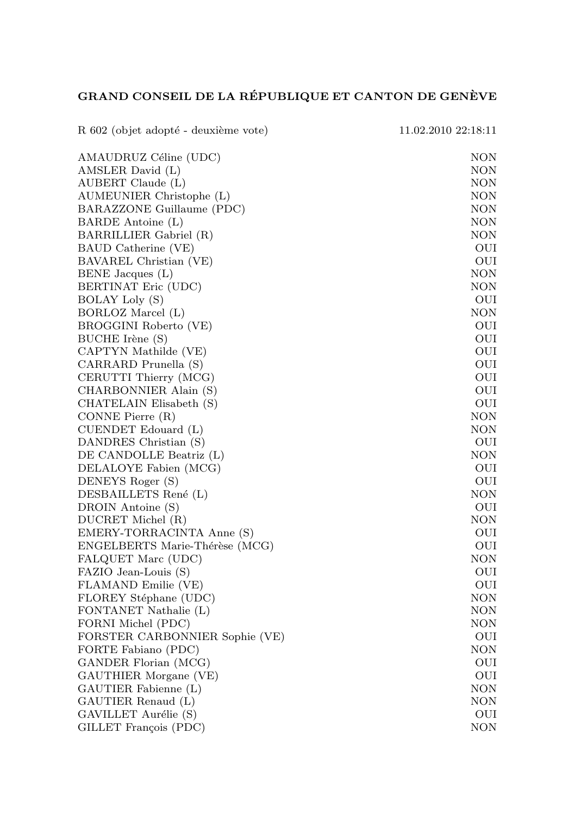## GRAND CONSEIL DE LA RÉPUBLIQUE ET CANTON DE GENÈVE

| R 602 (objet adopté - deuxième vote) | 11.02.2010 22:18:11 |
|--------------------------------------|---------------------|
| AMAUDRUZ Céline (UDC)                | NON                 |
| AMSLER David (L)                     | NON                 |
| AUBERT Claude (L)                    | <b>NON</b>          |
| AUMEUNIER Christophe (L)             | NON                 |
| BARAZZONE Guillaume (PDC)            | NON                 |
| BARDE Antoine (L)                    | <b>NON</b>          |
| BARRILLIER Gabriel (R)               | <b>NON</b>          |
| BAUD Catherine (VE)                  | OUI                 |
| BAVAREL Christian (VE)               | OUI                 |
| BENE Jacques (L)                     | <b>NON</b>          |
| BERTINAT Eric (UDC)                  | <b>NON</b>          |
| <b>BOLAY Loly (S)</b>                | OUI                 |
| BORLOZ Marcel (L)                    | <b>NON</b>          |
| BROGGINI Roberto (VE)                | OUI                 |
| BUCHE Irène (S)                      | OUI                 |
| CAPTYN Mathilde (VE)                 | OUI                 |
| CARRARD Prunella (S)                 | OUI                 |
| CERUTTI Thierry (MCG)                | OUI                 |
| CHARBONNIER Alain (S)                | OUI                 |
| CHATELAIN Elisabeth (S)              | OUI                 |
| CONNE Pierre (R)                     | NON                 |
| CUENDET Edouard (L)                  | <b>NON</b>          |
| DANDRES Christian (S)                | OUI                 |
| DE CANDOLLE Beatriz (L)              | NON                 |
| DELALOYE Fabien (MCG)                | OUI                 |
| DENEYS Roger (S)                     | OUI                 |
| DESBAILLETS René (L)                 | NON                 |
| DROIN Antoine (S)                    | OUI                 |
| DUCRET Michel (R)                    | <b>NON</b>          |
| EMERY-TORRACINTA Anne (S)            | OUI                 |
| ENGELBERTS Marie-Thérèse (MCG)       | OUI                 |
| FALQUET Marc (UDC)                   | NON                 |
| FAZIO Jean-Louis (S)                 | OUI                 |
| FLAMAND Emilie (VE)                  | OUI                 |
| FLOREY Stéphane (UDC)                | NON                 |
| FONTANET Nathalie (L)                | <b>NON</b>          |
| FORNI Michel (PDC)                   | <b>NON</b>          |
| FORSTER CARBONNIER Sophie (VE)       | OUI                 |
| FORTE Fabiano (PDC)                  | <b>NON</b>          |
| GANDER Florian (MCG)                 | OUI                 |
| GAUTHIER Morgane (VE)                | OUI                 |
| GAUTIER Fabienne (L)                 | NON                 |
| GAUTIER Renaud (L)                   | <b>NON</b>          |
| GAVILLET Aurélie (S)                 | OUI                 |
| GILLET François (PDC)                | NON                 |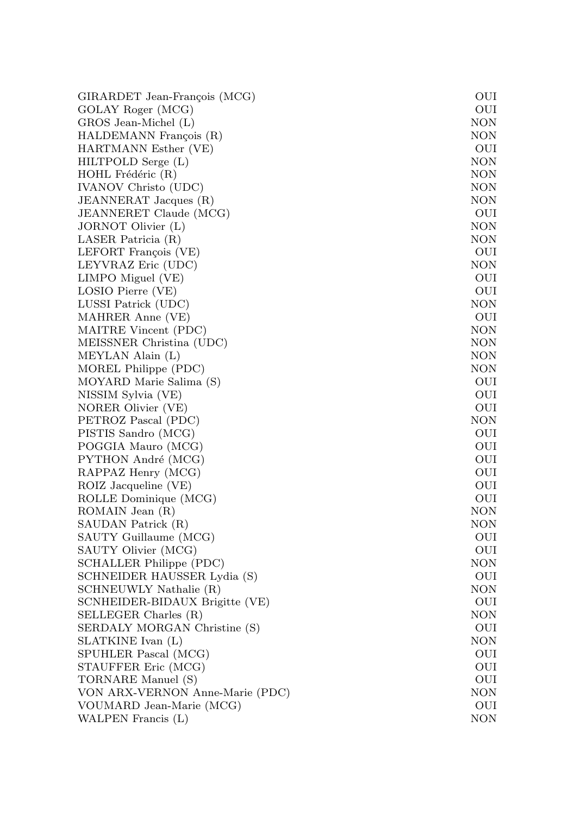| GIRARDET Jean-François (MCG)    | OUI        |
|---------------------------------|------------|
| GOLAY Roger (MCG)               | OUI        |
| GROS Jean-Michel (L)            | NON        |
| HALDEMANN François (R)          | NON        |
| HARTMANN Esther (VE)            | OUI        |
| HILTPOLD Serge (L)              | NON        |
| HOHL Frédéric (R)               | NON        |
| IVANOV Christo (UDC)            | NON        |
| JEANNERAT Jacques (R)           | NON        |
| JEANNERET Claude (MCG)          | OUI        |
| JORNOT Olivier (L)              | NON        |
| LASER Patricia (R)              | NON        |
| LEFORT François (VE)            | OUI        |
| LEYVRAZ Eric (UDC)              | NON        |
| LIMPO Miguel (VE)               | OUI        |
| LOSIO Pierre (VE)               | OUI        |
| LUSSI Patrick (UDC)             | NON        |
| MAHRER Anne (VE)                | OUI        |
| MAITRE Vincent (PDC)            | NON        |
| MEISSNER Christina (UDC)        | NON        |
| MEYLAN Alain (L)                | NON        |
| MOREL Philippe (PDC)            | <b>NON</b> |
| MOYARD Marie Salima (S)         | OUI        |
| NISSIM Sylvia (VE)              | OUI        |
| NORER Olivier (VE)              | OUI        |
| PETROZ Pascal (PDC)             | NON        |
| PISTIS Sandro (MCG)             | OUI        |
| POGGIA Mauro (MCG)              | OUI        |
| PYTHON André (MCG)              | OUI        |
| RAPPAZ Henry (MCG)              | OUI        |
| ROIZ Jacqueline (VE)            | OUI        |
| ROLLE Dominique (MCG)           | OUI        |
| ROMAIN Jean (R)                 | NON        |
| SAUDAN Patrick (R)              | NON        |
| SAUTY Guillaume (MCG)           | OUI        |
| SAUTY Olivier (MCG)             | OUI        |
| SCHALLER Philippe (PDC)         | NON        |
| SCHNEIDER HAUSSER Lydia (S)     | OUI        |
| SCHNEUWLY Nathalie (R)          | NON        |
| SCNHEIDER-BIDAUX Brigitte (VE)  | OUI        |
| SELLEGER Charles (R)            | NON        |
| SERDALY MORGAN Christine (S)    | OUI        |
| SLATKINE Ivan (L)               | NON        |
| SPUHLER Pascal (MCG)            | OUI        |
| STAUFFER Eric (MCG)             | OUI        |
| TORNARE Manuel (S)              | OUI        |
| VON ARX-VERNON Anne-Marie (PDC) | NON        |
| VOUMARD Jean-Marie (MCG)        | OUI        |
| WALPEN Francis (L)              | NON        |